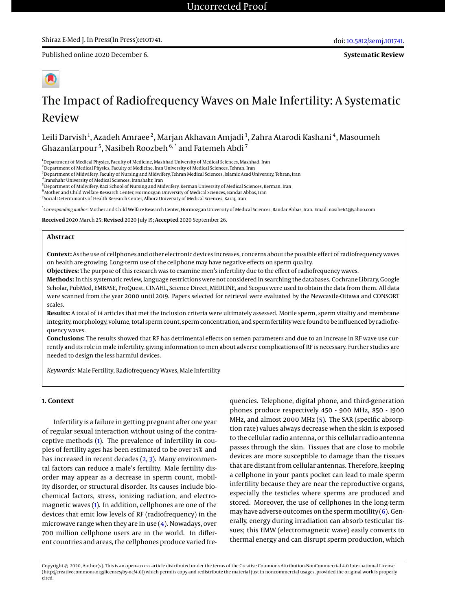**Systematic Review**



# The Impact of Radiofrequency Waves on Male Infertility: A Systematic Review

Leili Darvish<sup>1</sup>, Azadeh Amraee<sup>2</sup>, Marjan Akhavan Amjadi<sup>3</sup>, Zahra Atarodi Kashani<sup>4</sup>, Masoumeh Ghazanfarpour<sup>5</sup>, Nasibeh Roozbeh  $^{6, *}$  and Fatemeh Abdi<sup>7</sup>

<sup>1</sup>Department of Medical Physics, Faculty of Medicine, Mashhad University of Medical Sciences, Mashhad, Iran

<sup>2</sup> Department of Medical Physics, Faculty of Medicine, Iran University of Medical Sciences, Tehran, Iran

<sup>3</sup> Department of Midwifery, Faculty of Nursing and Midwifery, Tehran Medical Sciences, Islamic Azad University, Tehran, Iran

4 Iranshahr University of Medical Sciences, Iranshahr, Iran

<sup>5</sup>Department of Midwifery, Razi School of Nursing and Midwifery, Kerman University of Medical Sciences, Kerman, Iran

<sup>6</sup> Mother and Child Welfare Research Center, Hormozgan University of Medical Sciences, Bandar Abbas, Iran

<sup>7</sup> Social Determinants of Health Research Center, Alborz University of Medical Sciences, Karaj, Iran

\* *Corresponding author*: Mother and Child Welfare Research Center, Hormozgan University of Medical Sciences, Bandar Abbas, Iran. Email: nasibe62@yahoo.com

**Received** 2020 March 25; **Revised** 2020 July 15; **Accepted** 2020 September 26.

## **Abstract**

**Context:** As the use of cellphones and other electronic devices increases, concerns about the possible effect of radiofrequency waves on health are growing. Long-term use of the cellphone may have negative effects on sperm quality.

**Objectives:** The purpose of this research was to examine men's infertility due to the effect of radiofrequency waves.

**Methods:** In this systematic review, language restrictions were not considered in searching the databases. Cochrane Library, Google Scholar, PubMed, EMBASE, ProQuest, CINAHL, Science Direct, MEDLINE, and Scopus were used to obtain the data from them. All data were scanned from the year 2000 until 2019. Papers selected for retrieval were evaluated by the Newcastle-Ottawa and CONSORT scales.

**Results:** A total of 14 articles that met the inclusion criteria were ultimately assessed. Motile sperm, sperm vitality and membrane integrity, morphology, volume, total sperm count, sperm concentration, and sperm fertility were found to be influenced by radiofrequency waves.

**Conclusions:** The results showed that RF has detrimental effects on semen parameters and due to an increase in RF wave use currently and its role in male infertility, giving information to men about adverse complications of RF is necessary. Further studies are needed to design the less harmful devices.

*Keywords:* Male Fertility, Radiofrequency Waves, Male Infertility

## **1. Context**

Infertility is a failure in getting pregnant after one year of regular sexual interaction without using of the contraceptive methods [\(1\)](#page-7-0). The prevalence of infertility in couples of fertility ages has been estimated to be over 15% and has increased in recent decades [\(2,](#page-7-1) [3\)](#page-7-2). Many environmental factors can reduce a male's fertility. Male fertility disorder may appear as a decrease in sperm count, mobility disorder, or structural disorder. Its causes include biochemical factors, stress, ionizing radiation, and electromagnetic waves [\(1\)](#page-7-0). In addition, cellphones are one of the devices that emit low levels of RF (radiofrequency) in the microwave range when they are in use [\(4\)](#page-7-3). Nowadays, over 700 million cellphone users are in the world. In different countries and areas, the cellphones produce varied fre-

quencies. Telephone, digital phone, and third-generation phones produce respectively 450 - 900 MHz, 850 - 1900 MHz, and almost 2000 MHz [\(5\)](#page-7-4). The SAR (specific absorption rate) values always decrease when the skin is exposed to the cellular radio antenna, or this cellular radio antenna passes through the skin. Tissues that are close to mobile devices are more susceptible to damage than the tissues that are distant from cellular antennas. Therefore, keeping a cellphone in your pants pocket can lead to male sperm infertility because they are near the reproductive organs, especially the testicles where sperms are produced and stored. Moreover, the use of cellphones in the long-term may have adverse outcomes on the sperm motility  $(6)$ . Generally, energy during irradiation can absorb testicular tissues; this EMW (electromagnetic wave) easily converts to thermal energy and can disrupt sperm production, which

Copyright © 2020, Author(s). This is an open-access article distributed under the terms of the Creative Commons Attribution-NonCommercial 4.0 International License (http://creativecommons.org/licenses/by-nc/4.0/) which permits copy and redistribute the material just in noncommercial usages, provided the original work is properly cited.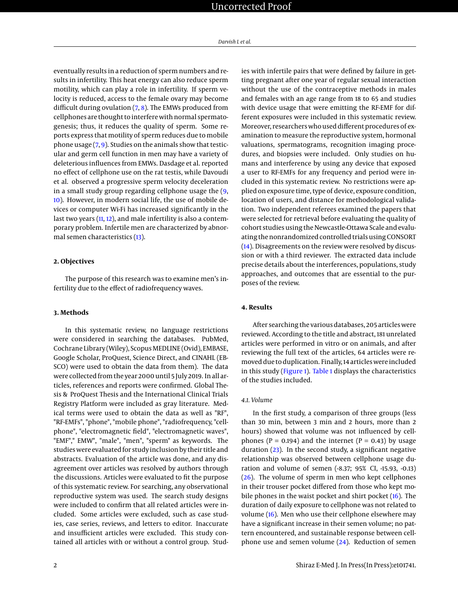eventually results in a reduction of sperm numbers and results in infertility. This heat energy can also reduce sperm motility, which can play a role in infertility. If sperm velocity is reduced, access to the female ovary may become difficult during ovulation  $(7, 8)$  $(7, 8)$  $(7, 8)$ . The EMWs produced from cellphones are thought to interfere with normal spermatogenesis; thus, it reduces the quality of sperm. Some reports express that motility of sperm reduces due to mobile phone usage  $(7, 9)$  $(7, 9)$  $(7, 9)$ . Studies on the animals show that testicular and germ cell function in men may have a variety of deleterious influences from EMWs. Dasdage et al. reported no effect of cellphone use on the rat testis, while Davoudi et al. observed a progressive sperm velocity deceleration in a small study group regarding cellphone usage the [\(9,](#page-7-8) [10\)](#page-7-9). However, in modern social life, the use of mobile devices or computer Wi-Fi has increased significantly in the last two years [\(11,](#page-7-10) [12\)](#page-7-11), and male infertility is also a contemporary problem. Infertile men are characterized by abnormal semen characteristics [\(13\)](#page-7-12).

#### **2. Objectives**

The purpose of this research was to examine men's infertility due to the effect of radiofrequency waves.

#### **3. Methods**

In this systematic review, no language restrictions were considered in searching the databases. PubMed, Cochrane Library (Wiley), Scopus MEDLINE (Ovid), EMBASE, Google Scholar, ProQuest, Science Direct, and CINAHL (EB-SCO) were used to obtain the data from them). The data were collected from the year 2000 until 5 July 2019. In all articles, references and reports were confirmed. Global Thesis & ProQuest Thesis and the International Clinical Trials Registry Platform were included as gray literature. Medical terms were used to obtain the data as well as "RF", "RF-EMFs", "phone", "mobile phone", "radiofrequency, "cellphone", "electromagnetic field", "electromagnetic waves", "EMF"," EMW", "male", "men", "sperm" as keywords. The studies were evaluated for study inclusion by their title and abstracts. Evaluation of the article was done, and any disagreement over articles was resolved by authors through the discussions. Articles were evaluated to fit the purpose of this systematic review. For searching, any observational reproductive system was used. The search study designs were included to confirm that all related articles were included. Some articles were excluded, such as case studies, case series, reviews, and letters to editor. Inaccurate and insufficient articles were excluded. This study contained all articles with or without a control group. Studies with infertile pairs that were defined by failure in getting pregnant after one year of regular sexual interaction without the use of the contraceptive methods in males and females with an age range from 18 to 65 and studies with device usage that were emitting the RF-EMF for different exposures were included in this systematic review. Moreover, researchers who used different procedures of examination to measure the reproductive system, hormonal valuations, spermatograms, recognition imaging procedures, and biopsies were included. Only studies on humans and interference by using any device that exposed a user to RF-EMFs for any frequency and period were included in this systematic review. No restrictions were applied on exposure time, type of device, exposure condition, location of users, and distance for methodological validation. Two independent referees examined the papers that were selected for retrieval before evaluating the quality of cohort studies using the Newcastle-Ottawa Scale and evaluating the nonrandomized controlled trials using CONSORT [\(14\)](#page-7-13). Disagreements on the review were resolved by discussion or with a third reviewer. The extracted data include precise details about the interferences, populations, study approaches, and outcomes that are essential to the purposes of the review.

# **4. Results**

After searching the various databases, 205 articles were reviewed. According to the title and abstract, 181 unrelated articles were performed in vitro or on animals, and after reviewing the full text of the articles, 64 articles were removed due to duplication. Finally, 14 articles were included in this study [\(Figure 1\)](#page-3-0). [Table 1](#page-2-0) displays the characteristics of the studies included.

#### *4.1. Volume*

In the first study, a comparison of three groups (less than 30 min, between 3 min and 2 hours, more than 2 hours) showed that volume was not influenced by cellphones ( $P = 0.194$ ) and the internet ( $P = 0.43$ ) by usage duration [\(23\)](#page-8-0). In the second study, a significant negative relationship was observed between cellphone usage duration and volume of semen (-8.37; 95% CI, -15.93, -0.13)  $(26)$ . The volume of sperm in men who kept cellphones in their trouser pocket differed from those who kept mobile phones in the waist pocket and shirt pocket [\(16\)](#page-7-14). The duration of daily exposure to cellphone was not related to volume [\(16\)](#page-7-14). Men who use their cellphone elsewhere may have a significant increase in their semen volume; no pattern encountered, and sustainable response between cellphone use and semen volume  $(24)$ . Reduction of semen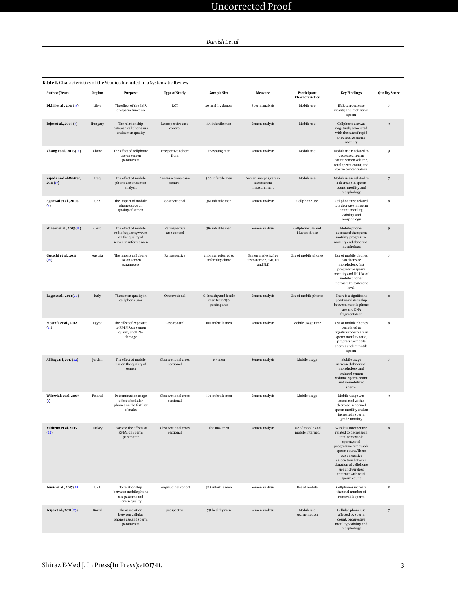<span id="page-2-0"></span>

| Table 1. Characteristics of the Studies Included in a Systematic Review |            |                                                                                             |                                  |                                                        |                                                           |                                       |                                                                                                                                                                                                                                                               |                      |
|-------------------------------------------------------------------------|------------|---------------------------------------------------------------------------------------------|----------------------------------|--------------------------------------------------------|-----------------------------------------------------------|---------------------------------------|---------------------------------------------------------------------------------------------------------------------------------------------------------------------------------------------------------------------------------------------------------------|----------------------|
| Author (Year)                                                           | Region     | Purpose                                                                                     | <b>Type of Study</b>             | <b>Sample Size</b>                                     | Measure                                                   | Participant<br>Characteristics        | <b>Key Findings</b>                                                                                                                                                                                                                                           | <b>Quality Score</b> |
| Dkhil et al., 2011 (15)                                                 | Libya      | The effect of the EMR<br>on sperm function                                                  | RCT                              | 20 healthy donors                                      | Sperm analysis                                            | Mobile use                            | <b>EMR</b> can decrease<br>vitality, and motility of<br>sperm                                                                                                                                                                                                 | $\scriptstyle\rm 7$  |
| Fejes et al., 2005 (7)                                                  | Hungary    | The relationship<br>between cellphone use<br>and semen quality                              | Retrospective case-<br>control   | 371 infertile men                                      | Semen analysis                                            | Mobile use                            | Cellphone use was<br>negatively associated<br>with the rate of rapid<br>progressive sperm<br>motility                                                                                                                                                         | $\boldsymbol{9}$     |
| Zhang et al., 2016 (16)                                                 | Chine      | The effect of cellphone<br>use on semen<br>parameters                                       | Prospective cohort<br>from       | 872 young men                                          | Semen analysis                                            | Mobile use                            | Mobile use is related to<br>decreased sperm<br>count, semen volume,<br>total sperm count, and<br>sperm concentration                                                                                                                                          | $\boldsymbol{9}$     |
| Sajeda and Al-Watter,<br>2011(17)                                       | Iraq       | The effect of mobile<br>phone use on semen<br>analysis                                      | Cross-sectionalcase-<br>control  | 300 infertile men                                      | Semen analysis/serum<br>testosterone<br>measurement       | Mobile use                            | Mobile use is related to<br>a decrease in sperm<br>count, motility, and<br>morphology.                                                                                                                                                                        | $\sqrt{ }$           |
| Agarwal et al., 2008<br>(5)                                             | <b>USA</b> | the impact of mobile<br>phone usage on<br>quality of semen                                  | observational                    | 361 infertile men                                      | Semen analysis                                            | Cellphone use                         | Cellphone use related<br>to a decrease in sperm<br>count, motility,<br>viability, and<br>morphology                                                                                                                                                           | 8                    |
| Shaeer et al., 2013 (18)                                                | Cairo      | The effect of mobile<br>radiofrequency waves<br>on the quality of<br>semen in infertile men | Retrospective<br>case-control    | 316 infertile men                                      | Semen analysis                                            | Cellphone use and<br>Bluetooth use    | Mobile phones<br>decreased the sperm<br>motility, progressive<br>motility and abnormal<br>morphology.                                                                                                                                                         | $\boldsymbol{9}$     |
| Gutschi et al., 2011<br>(19)                                            | Austria    | The impact cellphone<br>use on semen<br>parameters                                          | Retrospective                    | 2110 men referred to<br>infertility clinic             | Semen analysis, free<br>testosterone, FSH, LH<br>and PLT. | Use of mobile phones                  | Use of mobile phones<br>can decrease<br>morphology, fast<br>progressive sperm<br>motility and LH. Use of<br>mobile phones<br>increases testosterone<br>level.                                                                                                 | $\scriptstyle\rm 7$  |
| Rago et al., 2013 (20)                                                  | Italy      | The semen quality in<br>call phone user                                                     | Observational                    | 63 healthy and fertile<br>men from 250<br>participants | Semen analysis                                            | Use of mobile phones                  | There is a significant<br>positive relationship<br>between mobile phone<br>use and DNA<br>fragmentation                                                                                                                                                       | 8                    |
| Mostafa et al., 2012<br>(21)                                            | Egypt      | The effect of exposure<br>to RF-EMR on semen<br>quality and DNA<br>damage                   | Case-control                     | 100 infertile men                                      | Semen analysis                                            | Mobile usage time                     | Use of mobile phones<br>correlated to<br>significant decrease in<br>sperm motility ratio,<br>progressive motile<br>sperms and immotile<br>sperm                                                                                                               | $\bf8$               |
| Al-Bayyari, 2017 (22)                                                   | Jordan     | The effect of mobile<br>use on the quality of<br>semen                                      | Observational cross<br>sectional | 159 men                                                | Semen analysis                                            | Mobile usage                          | Mobile usage<br>increased abnormal<br>morphology and<br>reduced semen<br>volume, sperm count<br>and immobilized<br>sperm.                                                                                                                                     | $\scriptstyle\rm 7$  |
| Wdowiak et al, 2007<br>$\left( 1\right)$                                | Poland     | Determination usage<br>effect of cellular<br>phones on the fertility<br>of males            | Observational cross<br>sectional | 304 infertile men                                      | Semen analysis                                            | Mobile usage                          | Mobile usage was<br>associated with a<br>decrease in normal<br>sperm motility and an<br>increase in sperm<br>grade motility                                                                                                                                   | $\boldsymbol{9}$     |
| Yildirim et al, 2015<br>(23)                                            | Turkey     | To assess the effects of<br>RF-EM on sperm<br>parameter                                     | Observational cross<br>sectional | The 1082 men                                           | Semen analysis                                            | Use of mobile and<br>mobile internet. | Wireless internet use<br>related to decrease in<br>total removable<br>sperm, total<br>progressive removable<br>sperm count. There<br>was a negative<br>association between<br>duration of cellphone<br>use and wireless<br>internet with total<br>sperm count | 8                    |
| Lewis et al., 2017 (24)                                                 | <b>USA</b> | To relationship<br>between mobile phone<br>use patterns and<br>semen quality                | Longitudinal cohort              | 348 infertile men                                      | Semen analysis                                            | Use of mobile                         | Cellphones increase<br>the total number of<br>removable sperm                                                                                                                                                                                                 | 8                    |
| Feijo et al., 2011 (25)                                                 | Brazil     | The association<br>between cellular<br>phones use and sperm<br>parameters                   | prospective                      | 571 healthy men                                        | Semen analysis                                            | Mobile use<br>segmentation            | Cellular phone use<br>affected by sperm<br>count, progressive<br>motility, viability and<br>morphology.                                                                                                                                                       | $\scriptstyle\rm 7$  |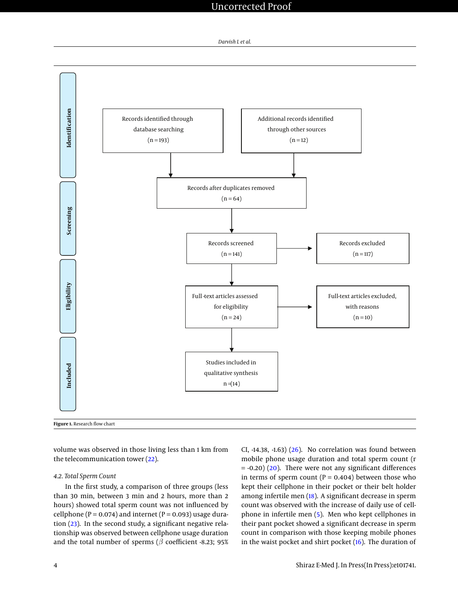

<span id="page-3-0"></span>

volume was observed in those living less than 1 km from the telecommunication tower [\(22\)](#page-8-6).

## *4.2. Total Sperm Count*

In the first study, a comparison of three groups (less than 30 min, between 3 min and 2 hours, more than 2 hours) showed total sperm count was not influenced by cellphone ( $P = 0.074$ ) and internet ( $P = 0.093$ ) usage duration [\(23\)](#page-8-0). In the second study, a significant negative relationship was observed between cellphone usage duration and the total number of sperms ( $\beta$  coefficient -8.23; 95% CI, -14.38, -1.63)  $(26)$ . No correlation was found between mobile phone usage duration and total sperm count (r  $= -0.20$ ) [\(20\)](#page-8-4). There were not any significant differences in terms of sperm count ( $P = 0.404$ ) between those who kept their cellphone in their pocket or their belt holder among infertile men [\(18\)](#page-7-17). A significant decrease in sperm count was observed with the increase of daily use of cellphone in infertile men [\(5\)](#page-7-4). Men who kept cellphones in their pant pocket showed a significant decrease in sperm count in comparison with those keeping mobile phones in the waist pocket and shirt pocket [\(16\)](#page-7-14). The duration of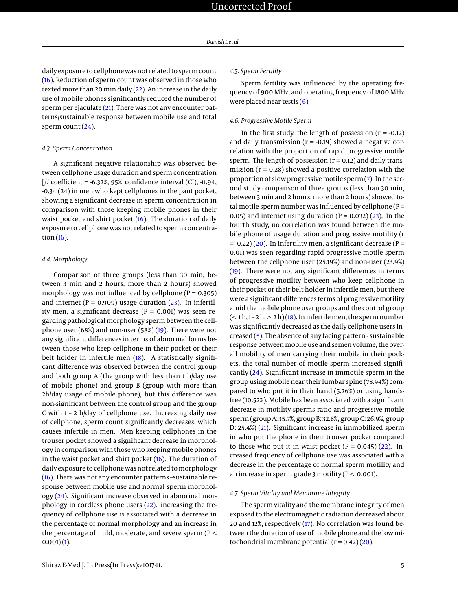daily exposure to cellphone was not related to sperm count [\(16\)](#page-7-14). Reduction of sperm count was observed in those who texted more than 20 min daily  $(22)$ . An increase in the daily use of mobile phones significantly reduced the number of sperm per ejaculate [\(21\)](#page-8-5). There was not any encounter patterns/sustainable response between mobile use and total sperm count [\(24\)](#page-8-2).

#### *4.3. Sperm Concentration*

A significant negative relationship was observed between cellphone usage duration and sperm concentration  $\beta$  coefficient = -6.32%, 95% confidence interval (CI), -11.94, -0.34 (24) in men who kept cellphones in the pant pocket, showing a significant decrease in sperm concentration in comparison with those keeping mobile phones in their waist pocket and shirt pocket [\(16\)](#page-7-14). The duration of daily exposure to cellphone was not related to sperm concentration [\(16\)](#page-7-14).

## *4.4. Morphology*

Comparison of three groups (less than 30 min, between 3 min and 2 hours, more than 2 hours) showed morphology was not influenced by cellphone ( $P = 0.305$ ) and internet ( $P = 0.909$ ) usage duration [\(23\)](#page-8-0). In infertility men, a significant decrease ( $P = 0.001$ ) was seen regarding pathological morphology sperm between the cellphone user (68%) and non-user (58%) [\(19\)](#page-8-3). There were not any significant differences in terms of abnormal forms between those who keep cellphone in their pocket or their belt holder in infertile men [\(18\)](#page-7-17). A statistically significant difference was observed between the control group and both group A (the group with less than 1 h/day use of mobile phone) and group B (group with more than 2h/day usage of mobile phone), but this difference was non-significant between the control group and the group C with 1 – 2 h/day of cellphone use. Increasing daily use of cellphone, sperm count significantly decreases, which causes infertile in men. Men keeping cellphones in the trouser pocket showed a significant decrease in morphology in comparison with those who keeping mobile phones in the waist pocket and shirt pocket [\(16\)](#page-7-14). The duration of daily exposure to cellphone was not related to morphology [\(16\)](#page-7-14). There was not any encounter patterns –sustainable response between mobile use and normal sperm morphology [\(24\)](#page-8-2). Significant increase observed in abnormal morphology in cordless phone users [\(22\)](#page-8-6). increasing the frequency of cellphone use is associated with a decrease in the percentage of normal morphology and an increase in the percentage of mild, moderate, and severe sperm (P <  $(0.001)(1)$  $(0.001)(1)$ .

## *4.5. Sperm Fertility*

Sperm fertility was influenced by the operating frequency of 900 MHz, and operating frequency of 1800 MHz were placed near testis  $(6)$ .

## *4.6. Progressive Motile Sperm*

In the first study, the length of possession  $(r = -0.12)$ and daily transmission ( $r = -0.19$ ) showed a negative correlation with the proportion of rapid progressive motile sperm. The length of possession  $(r = 0.12)$  and daily transmission ( $r = 0.28$ ) showed a positive correlation with the proportion of slow progressive motile sperm [\(7\)](#page-7-6). In the second study comparison of three groups (less than 30 min, between 3 min and 2 hours, more than 2 hours) showed total motile sperm number was influenced by cellphone ( $P =$ 0.05) and internet using duration  $(P = 0.032)$   $(23)$ . In the fourth study, no correlation was found between the mobile phone of usage duration and progressive motility (r  $= -0.22$ ) [\(20\)](#page-8-4). In infertility men, a significant decrease (P = 0.01) was seen regarding rapid progressive motile sperm between the cellphone user (25.19%) and non-user (23.9%) [\(19\)](#page-8-3). There were not any significant differences in terms of progressive motility between who keep cellphone in their pocket or their belt holder in infertile men, but there were a significant differences terms of progressive motility amid the mobile phone user groups and the control group  $(< 1 h, 1 - 2 h, > 2 h) (18)$  $(< 1 h, 1 - 2 h, > 2 h) (18)$ . In infertile men, the sperm number was significantly decreased as the daily cellphone users increased [\(5\)](#page-7-4). The absence of any facing pattern - sustainable response between mobile use and semen volume, the overall mobility of men carrying their mobile in their pockets, the total number of motile sperm increased significantly [\(24\)](#page-8-2). Significant increase in immotile sperm in the group using mobile near their lumbar spine (78.94%) compared to who put it in their hand (5.26%) or using handsfree (10.52%). Mobile has been associated with a significant decrease in motility sperms ratio and progressive motile sperm (group A: 35.7%, group B: 32.8%, group C: 26.9%, group D: 25.4%) [\(21\)](#page-8-5). Significant increase in immobilized sperm in who put the phone in their trouser pocket compared to those who put it in waist pocket  $(P = 0.045)$   $(22)$ . Increased frequency of cellphone use was associated with a decrease in the percentage of normal sperm motility and an increase in sperm grade 3 motility ( $P < 0.001$ ).

#### *4.7. Sperm Vitality and Membrane Integrity*

The sperm vitality and the membrane integrity of men exposed to the electromagnetic radiation decreased about 20 and 12%, respectively [\(17\)](#page-7-16). No correlation was found between the duration of use of mobile phone and the low mitochondrial membrane potential  $(r = 0.42)(20)$  $(r = 0.42)(20)$ .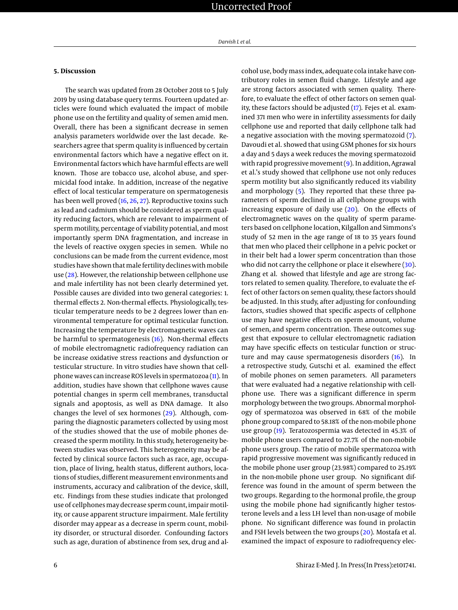## **5. Discussion**

The search was updated from 28 October 2018 to 5 July 2019 by using database query terms. Fourteen updated articles were found which evaluated the impact of mobile phone use on the fertility and quality of semen amid men. Overall, there has been a significant decrease in semen analysis parameters worldwide over the last decade. Researchers agree that sperm quality is influenced by certain environmental factors which have a negative effect on it. Environmental factors which have harmful effects are well known. Those are tobacco use, alcohol abuse, and spermicidal food intake. In addition, increase of the negative effect of local testicular temperature on spermatogenesis has been well proved [\(16,](#page-7-14) [26,](#page-8-1) [27\)](#page-8-8). Reproductive toxins such as lead and cadmium should be considered as sperm quality reducing factors, which are relevant to impairment of sperm motility, percentage of viability potential, and most importantly sperm DNA fragmentation, and increase in the levels of reactive oxygen species in semen. While no conclusions can be made from the current evidence, most studies have shown that male fertility declines with mobile use [\(28\)](#page-8-9). However, the relationship between cellphone use and male infertility has not been clearly determined yet. Possible causes are divided into two general categories: 1. thermal effects 2. Non-thermal effects. Physiologically, testicular temperature needs to be 2 degrees lower than environmental temperature for optimal testicular function. Increasing the temperature by electromagnetic waves can be harmful to spermatogenesis [\(16\)](#page-7-14). Non-thermal effects of mobile electromagnetic radiofrequency radiation can be increase oxidative stress reactions and dysfunction or testicular structure. In vitro studies have shown that cellphone waves can increase ROS levels in spermatozoa [\(11\)](#page-7-10). In addition, studies have shown that cellphone waves cause potential changes in sperm cell membranes, transductal signals and apoptosis, as well as DNA damage. It also changes the level of sex hormones [\(29\)](#page-8-10). Although, comparing the diagnostic parameters collected by using most of the studies showed that the use of mobile phones decreased the sperm motility. In this study, heterogeneity between studies was observed. This heterogeneity may be affected by clinical source factors such as race, age, occupation, place of living, health status, different authors, locations of studies, different measurement environments and instruments, accuracy and calibration of the device, skill, etc. Findings from these studies indicate that prolonged use of cellphones may decrease sperm count, impair motility, or cause apparent structure impairment. Male fertility disorder may appear as a decrease in sperm count, mobility disorder, or structural disorder. Confounding factors such as age, duration of abstinence from sex, drug and alcohol use, body mass index, adequate cola intake have contributory roles in semen fluid change. Lifestyle and age are strong factors associated with semen quality. Therefore, to evaluate the effect of other factors on semen quality, these factors should be adjusted [\(17\)](#page-7-16). Fejes et al. examined 371 men who were in infertility assessments for daily cellphone use and reported that daily cellphone talk had a negative association with the moving spermatozoid [\(7\)](#page-7-6). Davoudi et al. showed that using GSM phones for six hours a day and 5 days a week reduces the moving spermatozoid with rapid progressive movement [\(9\)](#page-7-8). In addition, Agrawal et al.'s study showed that cellphone use not only reduces sperm motility but also significantly reduced its viability and morphology [\(5\)](#page-7-4). They reported that these three parameters of sperm declined in all cellphone groups with increasing exposure of daily use [\(20\)](#page-8-4). On the effects of electromagnetic waves on the quality of sperm parameters based on cellphone location, Kilgallon and Simmons's study of 52 men in the age range of 18 to 35 years found that men who placed their cellphone in a pelvic pocket or in their belt had a lower sperm concentration than those who did not carry the cellphone or place it elsewhere [\(30\)](#page-8-11). Zhang et al. showed that lifestyle and age are strong factors related to semen quality. Therefore, to evaluate the effect of other factors on semen quality, these factors should be adjusted. In this study, after adjusting for confounding factors, studies showed that specific aspects of cellphone use may have negative effects on sperm amount, volume of semen, and sperm concentration. These outcomes suggest that exposure to cellular electromagnetic radiation may have specific effects on testicular function or structure and may cause spermatogenesis disorders [\(16\)](#page-7-14). In a retrospective study, Gutschi et al. examined the effect of mobile phones on semen parameters. All parameters that were evaluated had a negative relationship with cellphone use. There was a significant difference in sperm morphology between the two groups. Abnormal morphology of spermatozoa was observed in 68% of the mobile phone group compared to 58.18% of the non-mobile phone use group [\(19\)](#page-8-3). Teratozospermia was detected in 45.3% of mobile phone users compared to 27.7% of the non-mobile phone users group. The ratio of mobile spermatozoa with rapid progressive movement was significantly reduced in the mobile phone user group (23.98%) compared to 25.19% in the non-mobile phone user group. No significant difference was found in the amount of sperm between the two groups. Regarding to the hormonal profile, the group using the mobile phone had significantly higher testosterone levels and a less LH level than non-usage of mobile phone. No significant difference was found in prolactin and FSH levels between the two groups [\(20\)](#page-8-4). Mostafa et al. examined the impact of exposure to radiofrequency elec-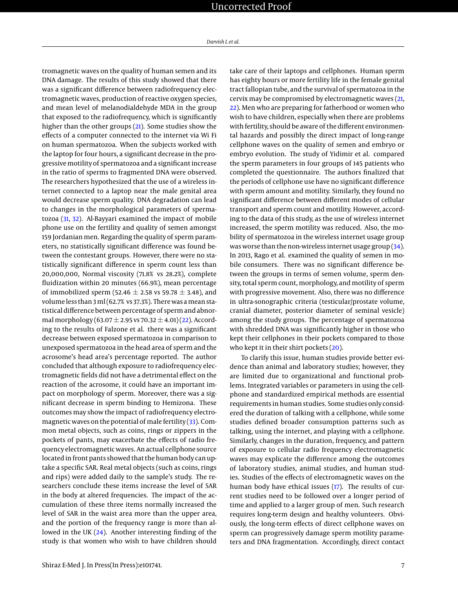tromagnetic waves on the quality of human semen and its DNA damage. The results of this study showed that there was a significant difference between radiofrequency electromagnetic waves, production of reactive oxygen species, and mean level of melanodialdehyde MDA in the group that exposed to the radiofrequency, which is significantly higher than the other groups [\(21\)](#page-8-5). Some studies show the effects of a computer connected to the internet via Wi Fi on human spermatozoa. When the subjects worked with the laptop for four hours, a significant decrease in the progressive motility of spermatozoa and a significant increase in the ratio of sperms to fragmented DNA were observed. The researchers hypothesized that the use of a wireless internet connected to a laptop near the male genital area would decrease sperm quality. DNA degradation can lead to changes in the morphological parameters of spermatozoa [\(31,](#page-8-12) [32\)](#page-8-13). Al-Bayyari examined the impact of mobile phone use on the fertility and quality of semen amongst 159 Jordanian men. Regarding the quality of sperm parameters, no statistically significant difference was found between the contestant groups. However, there were no statistically significant difference in sperm count less than 20,000,000, Normal viscosity (71.8% vs 28.2%), complete fluidization within 20 minutes (66.9%), mean percentage of immobilized sperm (52.46  $\pm$  2.58 vs 59.78  $\pm$  3.48), and volume less than 3 ml (62.7% vs 37.3%). There was a mean statistical difference between percentage of sperm and abnormal morphology (63.07  $\pm$  2.95 vs 70.32  $\pm$  4.01) [\(22\)](#page-8-6). According to the results of Falzone et al. there was a significant decrease between exposed spermatozoa in comparison to unexposed spermatozoa in the head area of sperm and the acrosome's head area's percentage reported. The author concluded that although exposure to radiofrequency electromagnetic fields did not have a detrimental effect on the reaction of the acrosome, it could have an important impact on morphology of sperm. Moreover, there was a significant decrease in sperm binding to Hemizona. These outcomes may show the impact of radiofrequency electromagnetic waves on the potential of male fertility [\(33\)](#page-8-14). Common metal objects, such as coins, rings or zippers in the pockets of pants, may exacerbate the effects of radio frequency electromagnetic waves. An actual cellphone source located in front pants showed that the human body can uptake a specific SAR. Real metal objects (such as coins, rings and rips) were added daily to the sample's study. The researchers conclude these items increase the level of SAR in the body at altered frequencies. The impact of the accumulation of these three items normally increased the level of SAR in the waist area more than the upper area, and the portion of the frequency range is more than allowed in the UK [\(24\)](#page-8-2). Another interesting finding of the study is that women who wish to have children should

take care of their laptops and cellphones. Human sperm has eighty hours or more fertility life in the female genital tract fallopian tube, and the survival of spermatozoa in the cervix may be compromised by electromagnetic waves [\(21,](#page-8-5) [22\)](#page-8-6). Men who are preparing for fatherhood or women who wish to have children, especially when there are problems with fertility, should be aware of the different environmental hazards and possibly the direct impact of long-range cellphone waves on the quality of semen and embryo or embryo evolution. The study of Yidimir et al. compared the sperm parameters in four groups of 145 patients who completed the questionnaire. The authors finalized that the periods of cellphone use have no significant difference with sperm amount and motility. Similarly, they found no significant difference between different modes of cellular transport and sperm count and motility. However, according to the data of this study, as the use of wireless internet increased, the sperm motility was reduced. Also, the mobility of spermatozoa in the wireless internet usage group was worse than the non-wireless internet usage group [\(34\)](#page-8-15). In 2013, Rago et al. examined the quality of semen in mobile consumers. There was no significant difference between the groups in terms of semen volume, sperm density, total sperm count, morphology, and motility of sperm with progressive movement. Also, there was no difference in ultra-sonographic criteria (testicular/prostate volume, cranial diameter, posterior diameter of seminal vesicle) among the study groups. The percentage of spermatozoa with shredded DNA was significantly higher in those who kept their cellphones in their pockets compared to those who kept it in their shirt pockets [\(20\)](#page-8-4).

To clarify this issue, human studies provide better evidence than animal and laboratory studies; however, they are limited due to organizational and functional problems. Integrated variables or parameters in using the cellphone and standardized empirical methods are essential requirements in human studies. Some studies only considered the duration of talking with a cellphone, while some studies defined broader consumption patterns such as talking, using the internet, and playing with a cellphone. Similarly, changes in the duration, frequency, and pattern of exposure to cellular radio frequency electromagnetic waves may explicate the difference among the outcomes of laboratory studies, animal studies, and human studies. Studies of the effects of electromagnetic waves on the human body have ethical issues [\(17\)](#page-7-16). The results of current studies need to be followed over a longer period of time and applied to a larger group of men. Such research requires long-term design and healthy volunteers. Obviously, the long-term effects of direct cellphone waves on sperm can progressively damage sperm motility parameters and DNA fragmentation. Accordingly, direct contact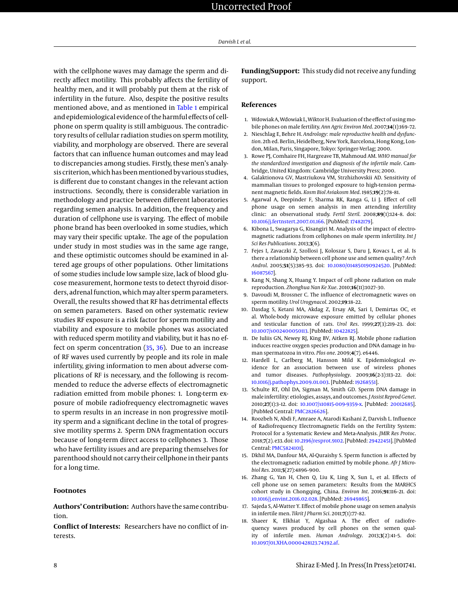with the cellphone waves may damage the sperm and directly affect motility. This probably affects the fertility of healthy men, and it will probably put them at the risk of infertility in the future. Also, despite the positive results mentioned above, and as mentioned in [Table 1](#page-2-0) empirical and epidemiological evidence of the harmful effects of cellphone on sperm quality is still ambiguous. The contradictory results of cellular radiation studies on sperm motility, viability, and morphology are observed. There are several factors that can influence human outcomes and may lead to discrepancies among studies. Firstly, these men's analysis criterion, which has been mentioned by various studies, is different due to constant changes in the relevant action instructions. Secondly, there is considerable variation in methodology and practice between different laboratories regarding semen analysis. In addition, the frequency and duration of cellphone use is varying. The effect of mobile phone brand has been overlooked in some studies, which may vary their specific uptake. The age of the population under study in most studies was in the same age range, and these optimistic outcomes should be examined in altered age groups of other populations. Other limitations of some studies include low sample size, lack of blood glucose measurement, hormone tests to detect thyroid disorders, adrenal function, which may alter sperm parameters. Overall, the results showed that RF has detrimental effects on semen parameters. Based on other systematic review studies RF exposure is a risk factor for sperm motility and viability and exposure to mobile phones was associated with reduced sperm motility and viability, but it has no effect on sperm concentration [\(35,](#page-8-16) [36\)](#page-8-17). Due to an increase of RF waves used currently by people and its role in male infertility, giving information to men about adverse complications of RF is necessary, and the following is recommended to reduce the adverse effects of electromagnetic radiation emitted from mobile phones: 1. Long-term exposure of mobile radiofrequency electromagnetic waves to sperm results in an increase in non progressive motility sperm and a significant decline in the total of progressive motility sperms 2. Sperm DNA fragmentation occurs because of long-term direct access to cellphones 3. Those who have fertility issues and are preparing themselves for parenthood should not carry their cellphone in their pants for a long time.

## **Footnotes**

**Authors' Contribution:** Authors have the same contribution.

**Conflict of Interests:** Researchers have no conflict of interests.

**Funding/Support:** This study did not receive any funding support.

## **References**

- <span id="page-7-0"></span>1. Wdowiak A, Wdowiak L, Wiktor H. Evaluation of the effect of using mobile phones on male fertility. *Ann Agric Environ Med*. 2007;**14**(1):169–72.
- <span id="page-7-1"></span>2. Nieschlag E, Behre H. *Andrology: male reproductive health and dysfunction*. 2th ed. Berlin, Heidelberg, New York, Barcelona, Hong Kong, London, Milan, Paris, Singapore, Tokyo: Springer-Verlag; 2000.
- <span id="page-7-2"></span>3. Rowe PJ, Comhaire FH, Hargreave TB, Mahmoud AM. *WHO manual for the standardized investigation and diagnosis of the infertile male*. Cambridge, United Kingdom: Cambridge University Press; 2000.
- <span id="page-7-3"></span>4. Galaktionova GV, Mastriukova VM, Strzhizhovskii AD. Sensitivity of mammalian tissues to prolonged exposure to high-tension permanent magnetic fields. *Kosm Biol Aviakosm Med*. 1985;**19**(2):78–81.
- <span id="page-7-4"></span>5. Agarwal A, Deepinder F, Sharma RK, Ranga G, Li J. Effect of cell phone usage on semen analysis in men attending infertility clinic: an observational study. *Fertil Steril*. 2008;**89**(1):124–8. doi: [10.1016/j.fertnstert.2007.01.166.](http://dx.doi.org/10.1016/j.fertnstert.2007.01.166) [PubMed: [17482179\]](http://www.ncbi.nlm.nih.gov/pubmed/17482179).
- <span id="page-7-5"></span>6. Kibona L, Swagarya G, Kisangiri M. Analysis of the impact of electromagnetic radiations from cellphones on male sperm infertility. *Int J Sci Res Publications*. 2013;**3**(6).
- <span id="page-7-6"></span>7. Fejes I, Zavaczki Z, Szollosi J, Koloszar S, Daru J, Kovacs L, et al. Is there a relationship between cell phone use and semen quality? *Arch Androl*. 2005;**51**(5):385–93. doi: [10.1080/014850190924520.](http://dx.doi.org/10.1080/014850190924520) [PubMed: [16087567\]](http://www.ncbi.nlm.nih.gov/pubmed/16087567).
- <span id="page-7-7"></span>8. Kang N, Shang X, Huang Y. Impact of cell phone radiation on male reproduction. *Zhonghua Nan Ke Xue*. 2010;**16**(11):1027–30.
- <span id="page-7-8"></span>Davoudi M, Brossner C. The influence of electromagnetic waves on sperm motility. *Urol Urogynacol*. 2002;**19**:18–22.
- <span id="page-7-9"></span>10. Dasdag S, Ketani MA, Akdag Z, Ersay AR, Sari I, Demirtas OC, et al. Whole-body microwave exposure emitted by cellular phones and testicular function of rats. *Urol Res*. 1999;**27**(3):219–23. doi: [10.1007/s002400050113.](http://dx.doi.org/10.1007/s002400050113) [PubMed: [10422825\]](http://www.ncbi.nlm.nih.gov/pubmed/10422825).
- <span id="page-7-10"></span>11. De Iuliis GN, Newey RJ, King BV, Aitken RJ. Mobile phone radiation induces reactive oxygen species production and DNA damage in human spermatozoa in vitro. *Plos one*. 2009;**4**(7). e6446.
- <span id="page-7-11"></span>12. Hardell L, Carlberg M, Hansson Mild K. Epidemiological evidence for an association between use of wireless phones and tumor diseases. *Pathophysiology*. 2009;**16**(2-3):113–22. doi: [10.1016/j.pathophys.2009.01.003.](http://dx.doi.org/10.1016/j.pathophys.2009.01.003) [PubMed: [19268551\]](http://www.ncbi.nlm.nih.gov/pubmed/19268551).
- <span id="page-7-12"></span>13. Schulte RT, Ohl DA, Sigman M, Smith GD. Sperm DNA damage in male infertility: etiologies, assays, and outcomes. *J Assist Reprod Genet*. 2010;**27**(1):3–12. doi: [10.1007/s10815-009-9359-x.](http://dx.doi.org/10.1007/s10815-009-9359-x) [PubMed: [20012685\]](http://www.ncbi.nlm.nih.gov/pubmed/20012685). [PubMed Central: [PMC2826626\]](https://www.ncbi.nlm.nih.gov/pmc/articles/PMC2826626).
- <span id="page-7-13"></span>14. Roozbeh N, Abdi F, Amraee A, Atarodi Kashani Z, Darvish L. Influence of Radiofrequency Electromagnetic Fields on the Fertility System: Protocol for a Systematic Review and Meta-Analysis. *JMIR Res Protoc*. 2018;**7**(2). e33. doi: [10.2196/resprot.9102.](http://dx.doi.org/10.2196/resprot.9102) [PubMed: [29422451\]](http://www.ncbi.nlm.nih.gov/pubmed/29422451). [PubMed Central: [PMC5824101\]](https://www.ncbi.nlm.nih.gov/pmc/articles/PMC5824101).
- <span id="page-7-15"></span>15. Dkhil MA, Danfour MA, Al-Quraishy S. Sperm function is affected by the electromagnetic radiation emitted by mobile phone. *Afr J Microbiol Res*. 2011;**5**(27):4896–900.
- <span id="page-7-14"></span>16. Zhang G, Yan H, Chen Q, Liu K, Ling X, Sun L, et al. Effects of cell phone use on semen parameters: Results from the MARHCS cohort study in Chongqing, China. *Environ Int*. 2016;**91**:116–21. doi: [10.1016/j.envint.2016.02.028.](http://dx.doi.org/10.1016/j.envint.2016.02.028) [PubMed: [26949865\]](http://www.ncbi.nlm.nih.gov/pubmed/26949865).
- <span id="page-7-16"></span>17. Sajeda S, Al-Watter Y. Effect of mobile phone usage on semen analysis in infertile men. *Tikrit J Pharm Sci*. 2011;**7**(1):77–82.
- <span id="page-7-17"></span>18. Shaeer K, Elkhiat Y, Algashaa A. The effect of radiofrequency waves produced by cell phones on the semen quality of infertile men. *Human Andrology*. 2013;**3**(2):41–5. doi: [10.1097/01.XHA.0000428123.74392.af.](http://dx.doi.org/10.1097/01.XHA.0000428123.74392.af)